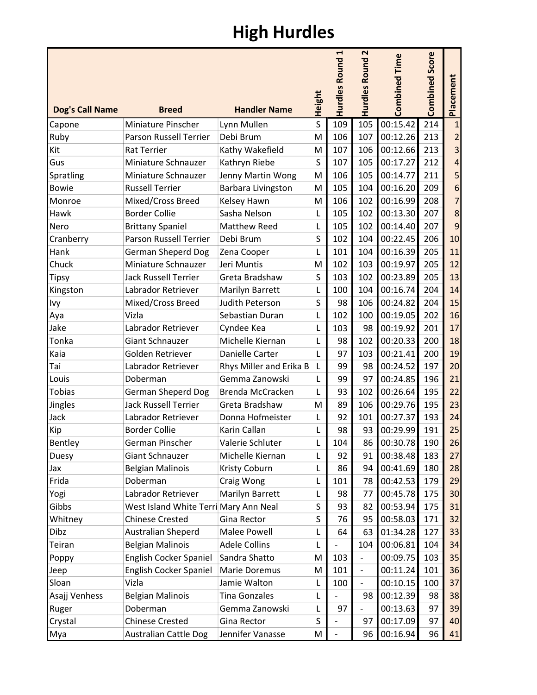## High Hurdles

| <b>Dog's Call Name</b> | <b>Breed</b>                          | <b>Handler Name</b>     | Height       | H<br><b>Hurdles Round</b> | $\mathbf{\mathsf{N}}$<br>Hurdles Round | Time<br>Combined | <b>Combined Score</b> | Placement |
|------------------------|---------------------------------------|-------------------------|--------------|---------------------------|----------------------------------------|------------------|-----------------------|-----------|
| Capone                 | Miniature Pinscher                    | Lynn Mullen             | $\sf S$      | 109                       | 105                                    | 00:15.42         | 214                   |           |
| Ruby                   | Parson Russell Terrier                | Debi Brum               | M            | 106                       | 107                                    | 00:12.26         | 213                   |           |
| Kit                    | <b>Rat Terrier</b>                    | Kathy Wakefield         | M            | 107                       | 106                                    | 00:12.66         | 213                   | 3         |
| Gus                    | Miniature Schnauzer                   | Kathryn Riebe           | S            | 107                       | 105                                    | 00:17.27         | 212                   | 4         |
| Spratling              | Miniature Schnauzer                   | Jenny Martin Wong       | M            | 106                       | 105                                    | 00:14.77         | 211                   | 5         |
| <b>Bowie</b>           | <b>Russell Terrier</b>                | Barbara Livingston      | M            | 105                       | 104                                    | 00:16.20         | 209                   | 6         |
| Monroe                 | Mixed/Cross Breed                     | Kelsey Hawn             | M            | 106                       | 102                                    | 00:16.99         | 208                   | 7         |
| Hawk                   | <b>Border Collie</b>                  | Sasha Nelson            | L            | 105                       | 102                                    | 00:13.30         | 207                   | 8         |
| Nero                   | <b>Brittany Spaniel</b>               | Matthew Reed            | $\mathsf{L}$ | 105                       | 102                                    | 00:14.40         | 207                   | 9         |
| Cranberry              | <b>Parson Russell Terrier</b>         | Debi Brum               | $\sf S$      | 102                       | 104                                    | 00:22.45         | 206                   | 10        |
| Hank                   | <b>German Sheperd Dog</b>             | Zena Cooper             | L            | 101                       | 104                                    | 00:16.39         | 205                   | 11        |
| Chuck                  | Miniature Schnauzer                   | Jeri Muntis             | M            | 102                       | 103                                    | 00:19.97         | 205                   | 12        |
| <b>Tipsy</b>           | <b>Jack Russell Terrier</b>           | Greta Bradshaw          | S            | 103                       | 102                                    | 00:23.89         | 205                   | 13        |
| Kingston               | Labrador Retriever                    | Marilyn Barrett         | L            | 100                       | 104                                    | 00:16.74         | 204                   | 14        |
| Ivy                    | Mixed/Cross Breed                     | Judith Peterson         | S            | 98                        | 106                                    | 00:24.82         | 204                   | 15        |
| Aya                    | Vizla                                 | Sebastian Duran         | L            | 102                       | 100                                    | 00:19.05         | 202                   | 16        |
| Jake                   | Labrador Retriever                    | Cyndee Kea              | $\mathsf{L}$ | 103                       | 98                                     | 00:19.92         | 201                   | 17        |
| Tonka                  | Giant Schnauzer                       | Michelle Kiernan        | L            | 98                        | 102                                    | 00:20.33         | 200                   | 18        |
| Kaia                   | Golden Retriever                      | Danielle Carter         | L            | 97                        | 103                                    | 00:21.41         | 200                   | 19        |
| Tai                    | Labrador Retriever                    | Rhys Miller and Erika B | L            | 99                        | 98                                     | 00:24.52         | 197                   | 20        |
| Louis                  | Doberman                              | Gemma Zanowski          | L            | 99                        | 97                                     | 00:24.85         | 196                   | 21        |
| <b>Tobias</b>          | <b>German Sheperd Dog</b>             | Brenda McCracken        | $\mathsf{L}$ | 93                        | 102                                    | 00:26.64         | 195                   | 22        |
| Jingles                | <b>Jack Russell Terrier</b>           | Greta Bradshaw          | M            | 89                        | 106                                    | 00:29.76         | 195                   | 23        |
| Jack                   | Labrador Retriever                    | Donna Hofmeister        | L            | 92                        | 101                                    | 00:27.37         | 193                   | 24        |
| Kip                    | <b>Border Collie</b>                  | Karin Callan            | L            | 98                        | 93                                     | 00:29.99         | 191                   | 25        |
| Bentley                | German Pinscher                       | Valerie Schluter        |              | 104                       | 86                                     | 00:30.78         | 190                   | 26        |
| Duesy                  | <b>Giant Schnauzer</b>                | Michelle Kiernan        | L            | 92                        | 91                                     | 00:38.48         | 183                   | 27        |
| Jax                    | <b>Belgian Malinois</b>               | Kristy Coburn           | L            | 86                        | 94                                     | 00:41.69         | 180                   | 28        |
| Frida                  | Doberman                              | Craig Wong              | L            | 101                       | 78                                     | 00:42.53         | 179                   | 29        |
| Yogi                   | Labrador Retriever                    | Marilyn Barrett         | L            | 98                        | 77                                     | 00:45.78         | 175                   | 30        |
| Gibbs                  | West Island White Terri Mary Ann Neal |                         | S            | 93                        | 82                                     | 00:53.94         | 175                   | 31        |
| Whitney                | <b>Chinese Crested</b>                | Gina Rector             | S            | 76                        | 95                                     | 00:58.03         | 171                   | 32        |
| Dibz                   | Australian Sheperd                    | Malee Powell            | L            | 64                        | 63                                     | 01:34.28         | 127                   | 33        |
| Teiran                 | <b>Belgian Malinois</b>               | <b>Adele Collins</b>    | L            |                           | 104                                    | 00:06.81         | 104                   | 34        |
| Poppy                  | English Cocker Spaniel                | Sandra Shatto           | M            | 103                       | $\overline{\phantom{a}}$               | 00:09.75         | 103                   | 35        |
| Jeep                   | English Cocker Spaniel                | Marie Doremus           | M            | 101                       | $\blacksquare$                         | 00:11.24         | 101                   | 36        |
| Sloan                  | Vizla                                 | Jamie Walton            | L            | 100                       | $\overline{\phantom{0}}$               | 00:10.15         | 100                   | 37        |
| Asajj Venhess          | <b>Belgian Malinois</b>               | <b>Tina Gonzales</b>    | L            |                           | 98                                     | 00:12.39         | 98                    | 38        |
| Ruger                  | Doberman                              | Gemma Zanowski          | L            | 97                        |                                        | 00:13.63         | 97                    | 39        |
| Crystal                | <b>Chinese Crested</b>                | Gina Rector             | S            |                           | 97                                     | 00:17.09         | 97                    | 40        |
| Mya                    | <b>Australian Cattle Dog</b>          | Jennifer Vanasse        | M            |                           | 96                                     | 00:16.94         | 96                    | 41        |